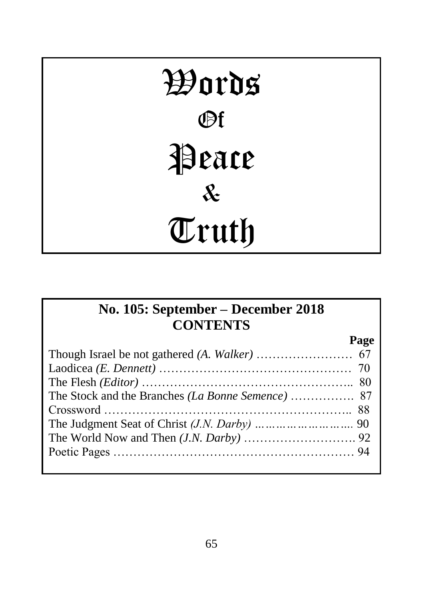# Words Of Peace & Truth

# **No. 105: September – December 2018 CONTENTS**

| Page |
|------|
|      |
|      |
|      |
|      |
|      |
|      |
|      |
|      |
|      |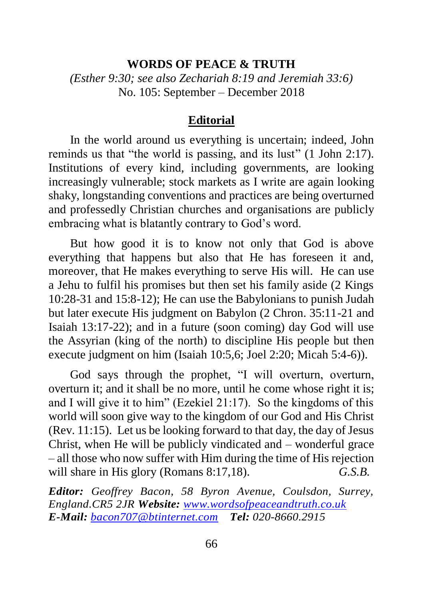#### **WORDS OF PEACE & TRUTH**

*(Esther 9:30; see also Zechariah 8:19 and Jeremiah 33:6)* No. 105: September – December 2018

#### **Editorial**

In the world around us everything is uncertain; indeed, John reminds us that "the world is passing, and its lust" (1 John 2:17). Institutions of every kind, including governments, are looking increasingly vulnerable; stock markets as I write are again looking shaky, longstanding conventions and practices are being overturned and professedly Christian churches and organisations are publicly embracing what is blatantly contrary to God's word.

But how good it is to know not only that God is above everything that happens but also that He has foreseen it and, moreover, that He makes everything to serve His will. He can use a Jehu to fulfil his promises but then set his family aside (2 Kings 10:28-31 and 15:8-12); He can use the Babylonians to punish Judah but later execute His judgment on Babylon (2 Chron. 35:11-21 and Isaiah 13:17-22); and in a future (soon coming) day God will use the Assyrian (king of the north) to discipline His people but then execute judgment on him (Isaiah 10:5,6; Joel 2:20; Micah 5:4-6)).

God says through the prophet, "I will overturn, overturn, overturn it; and it shall be no more, until he come whose right it is; and I will give it to him" (Ezekiel 21:17). So the kingdoms of this world will soon give way to the kingdom of our God and His Christ (Rev. 11:15). Let us be looking forward to that day, the day of Jesus Christ, when He will be publicly vindicated and – wonderful grace – all those who now suffer with Him during the time of His rejection will share in His glory (Romans 8:17,18). *G.S.B.* 

*Editor: Geoffrey Bacon, 58 Byron Avenue, Coulsdon, Surrey, England.CR5 2JR Website: [www.wordsofpeaceandtruth.co.uk](http://www.wordsofpeaceandtruth.co.uk/) E-Mail: [bacon707@btinternet.com](mailto:bacon707@btinternet.com) Tel: 020-8660.2915*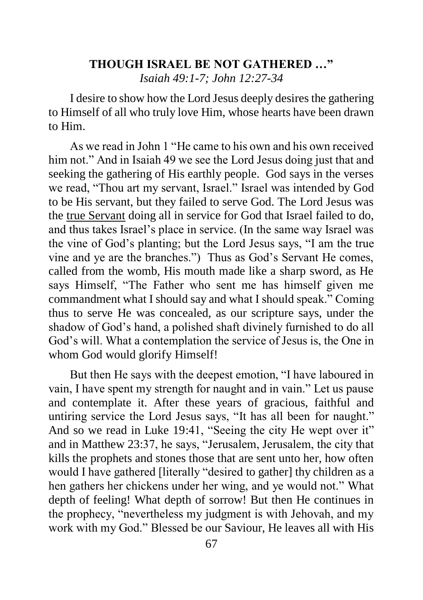## **THOUGH ISRAEL BE NOT GATHERED …"** *Isaiah 49:1-7; John 12:27-34*

I desire to show how the Lord Jesus deeply desires the gathering to Himself of all who truly love Him, whose hearts have been drawn to Him.

As we read in John 1 "He came to his own and his own received him not." And in Isaiah 49 we see the Lord Jesus doing just that and seeking the gathering of His earthly people. God says in the verses we read, "Thou art my servant, Israel." Israel was intended by God to be His servant, but they failed to serve God. The Lord Jesus was the true Servant doing all in service for God that Israel failed to do, and thus takes Israel's place in service. (In the same way Israel was the vine of God's planting; but the Lord Jesus says, "I am the true vine and ye are the branches.") Thus as God's Servant He comes, called from the womb, His mouth made like a sharp sword, as He says Himself, "The Father who sent me has himself given me commandment what I should say and what I should speak." Coming thus to serve He was concealed, as our scripture says, under the shadow of God's hand, a polished shaft divinely furnished to do all God's will. What a contemplation the service of Jesus is, the One in whom God would glorify Himself!

But then He says with the deepest emotion, "I have laboured in vain, I have spent my strength for naught and in vain." Let us pause and contemplate it. After these years of gracious, faithful and untiring service the Lord Jesus says, "It has all been for naught." And so we read in Luke 19:41, "Seeing the city He wept over it" and in Matthew 23:37, he says, "Jerusalem, Jerusalem, the city that kills the prophets and stones those that are sent unto her, how often would I have gathered [literally "desired to gather] thy children as a hen gathers her chickens under her wing, and ye would not." What depth of feeling! What depth of sorrow! But then He continues in the prophecy, "nevertheless my judgment is with Jehovah, and my work with my God." Blessed be our Saviour, He leaves all with His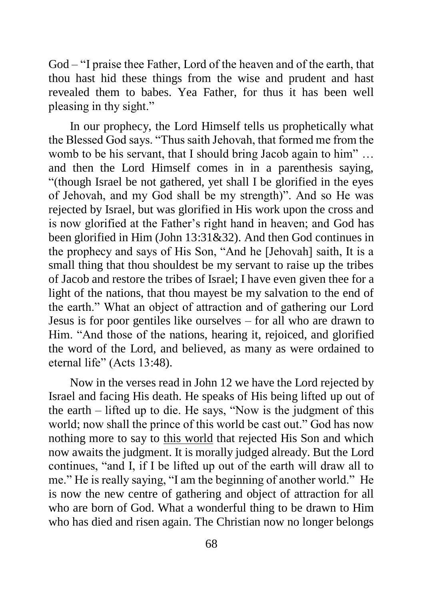God – "I praise thee Father, Lord of the heaven and of the earth, that thou hast hid these things from the wise and prudent and hast revealed them to babes. Yea Father, for thus it has been well pleasing in thy sight."

In our prophecy, the Lord Himself tells us prophetically what the Blessed God says. "Thus saith Jehovah, that formed me from the womb to be his servant, that I should bring Jacob again to him"... and then the Lord Himself comes in in a parenthesis saying, "(though Israel be not gathered, yet shall I be glorified in the eyes of Jehovah, and my God shall be my strength)". And so He was rejected by Israel, but was glorified in His work upon the cross and is now glorified at the Father's right hand in heaven; and God has been glorified in Him (John 13:31&32). And then God continues in the prophecy and says of His Son, "And he [Jehovah] saith, It is a small thing that thou shouldest be my servant to raise up the tribes of Jacob and restore the tribes of Israel; I have even given thee for a light of the nations, that thou mayest be my salvation to the end of the earth." What an object of attraction and of gathering our Lord Jesus is for poor gentiles like ourselves – for all who are drawn to Him. "And those of the nations, hearing it, rejoiced, and glorified the word of the Lord, and believed, as many as were ordained to eternal life" (Acts 13:48).

Now in the verses read in John 12 we have the Lord rejected by Israel and facing His death. He speaks of His being lifted up out of the earth – lifted up to die. He says, "Now is the judgment of this world; now shall the prince of this world be cast out." God has now nothing more to say to this world that rejected His Son and which now awaits the judgment. It is morally judged already. But the Lord continues, "and I, if I be lifted up out of the earth will draw all to me." He is really saying, "I am the beginning of another world." He is now the new centre of gathering and object of attraction for all who are born of God. What a wonderful thing to be drawn to Him who has died and risen again. The Christian now no longer belongs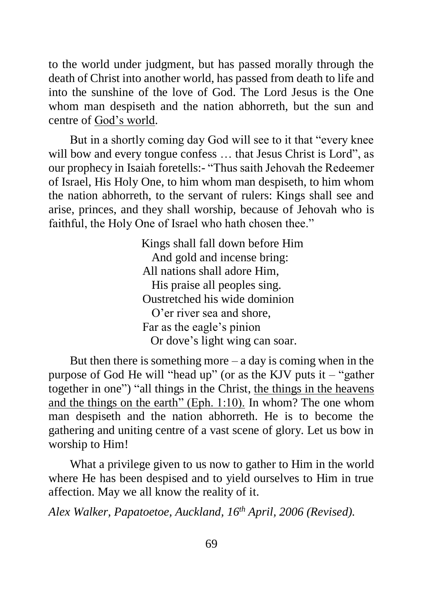to the world under judgment, but has passed morally through the death of Christ into another world, has passed from death to life and into the sunshine of the love of God. The Lord Jesus is the One whom man despiseth and the nation abhorreth, but the sun and centre of God's world.

But in a shortly coming day God will see to it that "every knee will bow and every tongue confess ... that Jesus Christ is Lord", as our prophecy in Isaiah foretells:- "Thus saith Jehovah the Redeemer of Israel, His Holy One, to him whom man despiseth, to him whom the nation abhorreth, to the servant of rulers: Kings shall see and arise, princes, and they shall worship, because of Jehovah who is faithful, the Holy One of Israel who hath chosen thee."

> Kings shall fall down before Him And gold and incense bring: All nations shall adore Him, His praise all peoples sing. Oustretched his wide dominion O'er river sea and shore, Far as the eagle's pinion Or dove's light wing can soar.

But then there is something more  $-$  a day is coming when in the purpose of God He will "head up" (or as the KJV puts it – "gather together in one") "all things in the Christ, the things in the heavens and the things on the earth" (Eph. 1:10). In whom? The one whom man despiseth and the nation abhorreth. He is to become the gathering and uniting centre of a vast scene of glory. Let us bow in worship to Him!

What a privilege given to us now to gather to Him in the world where He has been despised and to yield ourselves to Him in true affection. May we all know the reality of it.

*Alex Walker, Papatoetoe, Auckland, 16 th April, 2006 (Revised).*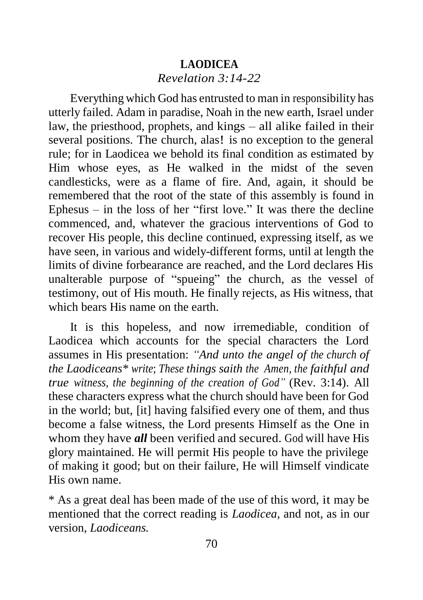# **LAODICEA** *Revelation 3:14-22*

Everything which God has entrusted to man in responsibility has utterly failed. Adam in paradise, Noah in the new earth, Israel under law, the priesthood, prophets, and kings – all alike failed in their several positions. The church, alas! is no exception to the general rule; for in Laodicea we behold its final condition as estimated by Him whose eyes, as He walked in the midst of the seven candlesticks, were as a flame of fire. And, again, it should be remembered that the root of the state of this assembly is found in Ephesus – in the loss of her "first love." It was there the decline commenced, and, whatever the gracious interventions of God to recover His people, this decline continued, expressing itself, as we have seen, in various and widely-different forms, until at length the limits of divine forbearance are reached, and the Lord declares His unalterable purpose of "spueing" the church, as the vessel of testimony, out of His mouth. He finally rejects, as His witness, that which bears His name on the earth.

It is this hopeless, and now irremediable, condition of Laodicea which accounts for the special characters the Lord assumes in His presentation: *"And unto the angel of the church of the Laodiceans\* write*; *These things saith the Amen, the faithful and true witness, the beginning of the creation of God"* (Rev. 3:14). All these characters express what the church should have been for God in the world; but, [it] having falsified every one of them, and thus become a false witness, the Lord presents Himself as the One in whom they have *all* been verified and secured. God will have His glory maintained. He will permit His people to have the privilege of making it good; but on their failure, He will Himself vindicate His own name.

\* As a great deal has been made of the use of this word, it may be mentioned that the correct reading is *Laodicea,* and not, as in our version, *Laodiceans.*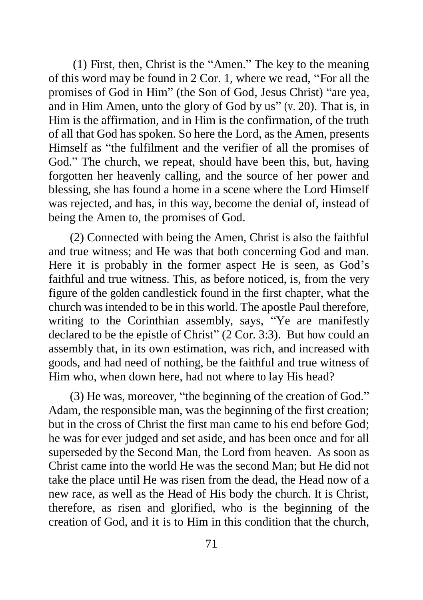(1) First, then, Christ is the "Amen." The key to the meaning of this word may be found in 2 Cor. 1, where we read, "For all the promises of God in Him" (the Son of God, Jesus Christ) "are yea, and in Him Amen, unto the glory of God by us" (v. 20). That is, in Him is the affirmation, and in Him is the confirmation, of the truth of all that God has spoken. So here the Lord, as the Amen, presents Himself as "the fulfilment and the verifier of all the promises of God." The church, we repeat, should have been this, but, having forgotten her heavenly calling, and the source of her power and blessing, she has found a home in a scene where the Lord Himself was rejected, and has, in this way, become the denial of, instead of being the Amen to, the promises of God.

(2) Connected with being the Amen, Christ is also the faithful and true witness; and He was that both concerning God and man. Here it is probably in the former aspect He is seen, as God's faithful and true witness. This, as before noticed, is, from the very figure of the golden candlestick found in the first chapter, what the church was intended to be in this world. The apostle Paul therefore, writing to the Corinthian assembly, says, "Ye are manifestly declared to be the epistle of Christ" (2 Cor. 3:3). But how could an assembly that, in its own estimation, was rich, and increased with goods, and had need of nothing, be the faithful and true witness of Him who, when down here, had not where to lay His head?

(3) He was, moreover, "the beginning of the creation of God." Adam, the responsible man, was the beginning of the first creation; but in the cross of Christ the first man came to his end before God; he was for ever judged and set aside, and has been once and for all superseded by the Second Man, the Lord from heaven. As soon as Christ came into the world He was the second Man; but He did not take the place until He was risen from the dead, the Head now of a new race, as well as the Head of His body the church. It is Christ, therefore, as risen and glorified, who is the beginning of the creation of God, and it is to Him in this condition that the church,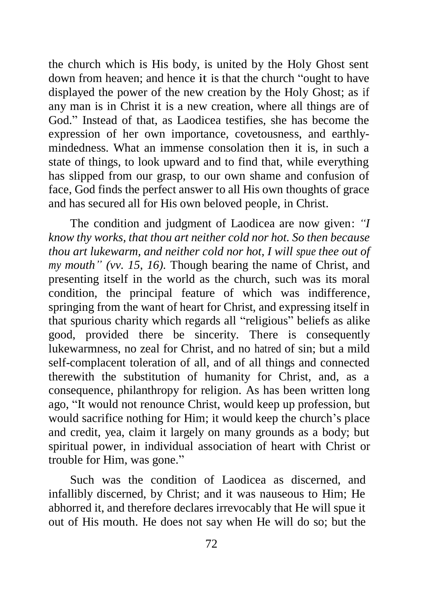the church which is His body, is united by the Holy Ghost sent down from heaven; and hence it is that the church "ought to have displayed the power of the new creation by the Holy Ghost; as if any man is in Christ it is a new creation, where all things are of God." Instead of that, as Laodicea testifies, she has become the expression of her own importance, covetousness, and earthlymindedness. What an immense consolation then it is, in such a state of things, to look upward and to find that, while everything has slipped from our grasp, to our own shame and confusion of face, God finds the perfect answer to all His own thoughts of grace and has secured all for His own beloved people, in Christ.

The condition and judgment of Laodicea are now given: *"I know thy works, that thou art neither cold nor hot. So then because thou art lukewarm, and neither cold nor hot, I will spue thee out of my mouth" (vv. 15, 16).* Though bearing the name of Christ, and presenting itself in the world as the church, such was its moral condition, the principal feature of which was indifference, springing from the want of heart for Christ, and expressing itself in that spurious charity which regards all "religious" beliefs as alike good, provided there be sincerity. There is consequently lukewarmness, no zeal for Christ, and no hatred of sin; but a mild self-complacent toleration of all, and of all things and connected therewith the substitution of humanity for Christ, and, as a consequence, philanthropy for religion. As has been written long ago, "It would not renounce Christ, would keep up profession, but would sacrifice nothing for Him; it would keep the church's place and credit, yea, claim it largely on many grounds as a body; but spiritual power, in individual association of heart with Christ or trouble for Him, was gone."

Such was the condition of Laodicea as discerned, and infallibly discerned, by Christ; and it was nauseous to Him; He abhorred it, and therefore declares irrevocably that He will spue it out of His mouth. He does not say when He will do so; but the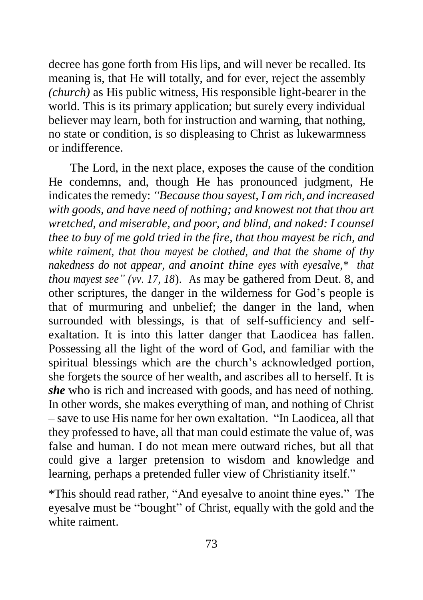decree has gone forth from His lips, and will never be recalled. Its meaning is, that He will totally, and for ever, reject the assembly *(church)* as His public witness, His responsible light-bearer in the world. This is its primary application; but surely every individual believer may learn, both for instruction and warning, that nothing, no state or condition, is so displeasing to Christ as lukewarmness or indifference.

The Lord, in the next place, exposes the cause of the condition He condemns, and, though He has pronounced judgment, He indicates the remedy: *"Because thou sayest, I am rich, and increased with goods, and have need of nothing; and knowest not that thou art wretched, and miserable, and poor, and blind, and naked: I counsel thee to buy of me gold tried in the fire, that thou mayest be rich, and white raiment, that thou mayest be clothed, and that the shame of thy nakedness do not appear, and anoint thine eyes with eyesalve,\* that thou mayest see" (vv. 17, 18*). As may be gathered from Deut. 8, and other scriptures, the danger in the wilderness for God's people is that of murmuring and unbelief; the danger in the land, when surrounded with blessings, is that of self-sufficiency and selfexaltation. It is into this latter danger that Laodicea has fallen. Possessing all the light of the word of God, and familiar with the spiritual blessings which are the church's acknowledged portion, she forgets the source of her wealth, and ascribes all to herself. It is *she* who is rich and increased with goods, and has need of nothing. In other words, she makes everything of man, and nothing of Christ – save to use His name for her own exaltation. "In Laodicea, all that they professed to have, all that man could estimate the value of, was false and human. I do not mean mere outward riches, but all that could give a larger pretension to wisdom and knowledge and learning, perhaps a pretended fuller view of Christianity itself."

\*This should read rather, "And eyesalve to anoint thine eyes." The eyesalve must be "bought" of Christ, equally with the gold and the white raiment.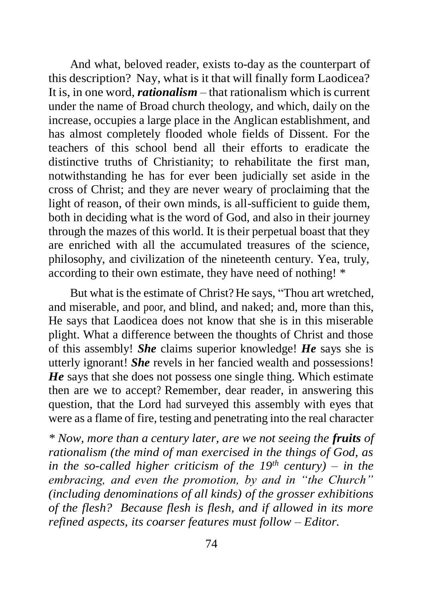And what, beloved reader, exists to-day as the counterpart of this description? Nay, what is it that will finally form Laodicea? It is, in one word, *rationalism* – that rationalism which is current under the name of Broad church theology, and which, daily on the increase, occupies a large place in the Anglican establishment, and has almost completely flooded whole fields of Dissent. For the teachers of this school bend all their efforts to eradicate the distinctive truths of Christianity; to rehabilitate the first man, notwithstanding he has for ever been judicially set aside in the cross of Christ; and they are never weary of proclaiming that the light of reason, of their own minds, is all-sufficient to guide them, both in deciding what is the word of God, and also in their journey through the mazes of this world. It is their perpetual boast that they are enriched with all the accumulated treasures of the science, philosophy, and civilization of the nineteenth century. Yea, truly, according to their own estimate, they have need of nothing! \*

But what is the estimate of Christ? He says, "Thou art wretched, and miserable, and poor, and blind, and naked; and, more than this, He says that Laodicea does not know that she is in this miserable plight. What a difference between the thoughts of Christ and those of this assembly! *She* claims superior knowledge! *He* says she is utterly ignorant! *She* revels in her fancied wealth and possessions! *He* says that she does not possess one single thing. Which estimate then are we to accept? Remember, dear reader, in answering this question, that the Lord had surveyed this assembly with eyes that were as a flame of fire, testing and penetrating into the real character

*\* Now, more than a century later, are we not seeing the fruits of rationalism (the mind of man exercised in the things of God, as in the so-called higher criticism of the 19th century) – in the embracing, and even the promotion, by and in "the Church" (including denominations of all kinds) of the grosser exhibitions of the flesh? Because flesh is flesh, and if allowed in its more refined aspects, its coarser features must follow – Editor.*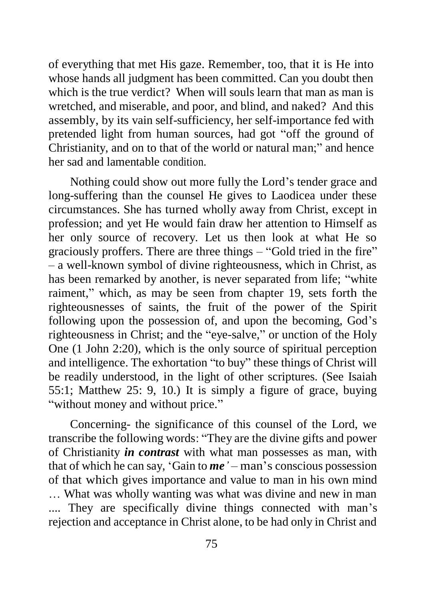of everything that met His gaze. Remember, too, that it is He into whose hands all judgment has been committed. Can you doubt then which is the true verdict? When will souls learn that man as man is wretched, and miserable, and poor, and blind, and naked? And this assembly, by its vain self-sufficiency, her self-importance fed with pretended light from human sources, had got "off the ground of Christianity, and on to that of the world or natural man;" and hence her sad and lamentable condition.

Nothing could show out more fully the Lord's tender grace and long-suffering than the counsel He gives to Laodicea under these circumstances. She has turned wholly away from Christ, except in profession; and yet He would fain draw her attention to Himself as her only source of recovery. Let us then look at what He so graciously proffers. There are three things – "Gold tried in the fire" – a well-known symbol of divine righteousness, which in Christ, as has been remarked by another, is never separated from life; "white raiment," which, as may be seen from chapter 19, sets forth the righteousnesses of saints, the fruit of the power of the Spirit following upon the possession of, and upon the becoming, God's righteousness in Christ; and the "eye-salve," or unction of the Holy One (1 John 2:20), which is the only source of spiritual perception and intelligence. The exhortation "to buy" these things of Christ will be readily understood, in the light of other scriptures. (See Isaiah 55:1; Matthew 25: 9, 10.) It is simply a figure of grace, buying "without money and without price."

Concerning- the significance of this counsel of the Lord, we transcribe the following words: "They are the divine gifts and power of Christianity *in contrast* with what man possesses as man, with that of which he can say, 'Gain to *me'* – man's conscious possession of that which gives importance and value to man in his own mind … What was wholly wanting was what was divine and new in man .... They are specifically divine things connected with man's rejection and acceptance in Christ alone, to be had only in Christ and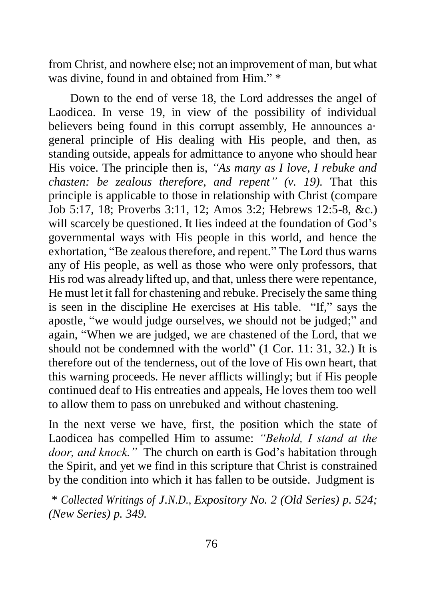from Christ, and nowhere else; not an improvement of man, but what was divine, found in and obtained from Him." \*

Down to the end of verse 18, the Lord addresses the angel of Laodicea. In verse 19, in view of the possibility of individual believers being found in this corrupt assembly, He announces a· general principle of His dealing with His people, and then, as standing outside, appeals for admittance to anyone who should hear His voice. The principle then is, *"As many as I love, I rebuke and chasten: be zealous therefore, and repent" (v. 19).* That this principle is applicable to those in relationship with Christ (compare Job 5:17, 18; Proverbs 3:11, 12; Amos 3:2; Hebrews 12:5-8, &c.) will scarcely be questioned. It lies indeed at the foundation of God's governmental ways with His people in this world, and hence the exhortation, "Be zealous therefore, and repent." The Lord thus warns any of His people, as well as those who were only professors, that His rod was already lifted up, and that, unless there were repentance, He must let it fall for chastening and rebuke. Precisely the same thing is seen in the discipline He exercises at His table. "If," says the apostle, "we would judge ourselves, we should not be judged;" and again, "When we are judged, we are chastened of the Lord, that we should not be condemned with the world" (1 Cor. 11: 31, 32.) It is therefore out of the tenderness, out of the love of His own heart, that this warning proceeds. He never afflicts willingly; but if His people continued deaf to His entreaties and appeals, He loves them too well to allow them to pass on unrebuked and without chastening.

In the next verse we have, first, the position which the state of Laodicea has compelled Him to assume: *"Behold, I stand at the door, and knock."* The church on earth is God's habitation through the Spirit, and yet we find in this scripture that Christ is constrained by the condition into which it has fallen to be outside. Judgment is

\* *Collected Writings of J.N.D., Expository No. 2 (Old Series) p. 524; (New Series) p. 349.*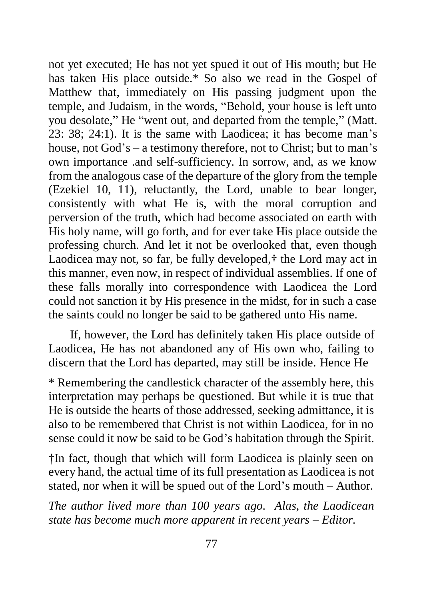not yet executed; He has not yet spued it out of His mouth; but He has taken His place outside.\* So also we read in the Gospel of Matthew that, immediately on His passing judgment upon the temple, and Judaism, in the words, "Behold, your house is left unto you desolate," He "went out, and departed from the temple," (Matt. 23: 38; 24:1). It is the same with Laodicea; it has become man's house, not God's – a testimony therefore, not to Christ; but to man's own importance .and self-sufficiency. In sorrow, and, as we know from the analogous case of the departure of the glory from the temple (Ezekiel 10, 11), reluctantly, the Lord, unable to bear longer, consistently with what He is, with the moral corruption and perversion of the truth, which had become associated on earth with His holy name, will go forth, and for ever take His place outside the professing church. And let it not be overlooked that, even though Laodicea may not, so far, be fully developed,<sup>†</sup> the Lord may act in this manner, even now, in respect of individual assemblies. If one of these falls morally into correspondence with Laodicea the Lord could not sanction it by His presence in the midst, for in such a case the saints could no longer be said to be gathered unto His name.

If, however, the Lord has definitely taken His place outside of Laodicea, He has not abandoned any of His own who, failing to discern that the Lord has departed, may still be inside. Hence He

\* Remembering the candlestick character of the assembly here, this interpretation may perhaps be questioned. But while it is true that He is outside the hearts of those addressed, seeking admittance, it is also to be remembered that Christ is not within Laodicea, for in no sense could it now be said to be God's habitation through the Spirit.

†In fact, though that which will form Laodicea is plainly seen on every hand, the actual time of its full presentation as Laodicea is not stated, nor when it will be spued out of the Lord's mouth – Author.

*The author lived more than 100 years ago. Alas, the Laodicean state has become much more apparent in recent years – Editor.*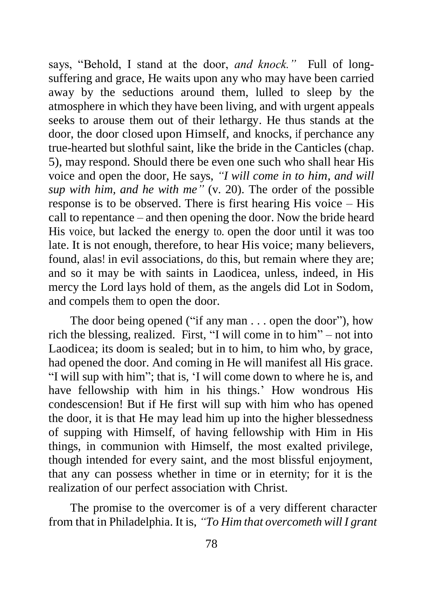says, "Behold, I stand at the door, *and knock."* Full of longsuffering and grace, He waits upon any who may have been carried away by the seductions around them, lulled to sleep by the atmosphere in which they have been living, and with urgent appeals seeks to arouse them out of their lethargy. He thus stands at the door, the door closed upon Himself, and knocks, if perchance any true-hearted but slothful saint, like the bride in the Canticles (chap. 5), may respond. Should there be even one such who shall hear His voice and open the door, He says, *"I will come in to him, and will sup with him, and he with me"* (v. 20). The order of the possible response is to be observed. There is first hearing His voice – His call to repentance – and then opening the door. Now the bride heard His voice, but lacked the energy to. open the door until it was too late. It is not enough, therefore, to hear His voice; many believers, found, alas! in evil associations, do this, but remain where they are; and so it may be with saints in Laodicea, unless, indeed, in His mercy the Lord lays hold of them, as the angels did Lot in Sodom, and compels them to open the door.

The door being opened ("if any man . . . open the door"), how rich the blessing, realized. First, "I will come in to him" – not into Laodicea; its doom is sealed; but in to him, to him who, by grace, had opened the door. And coming in He will manifest all His grace. "I will sup with him"; that is, 'I will come down to where he is, and have fellowship with him in his things.' How wondrous His condescension! But if He first will sup with him who has opened the door, it is that He may lead him up into the higher blessedness of supping with Himself, of having fellowship with Him in His things, in communion with Himself, the most exalted privilege, though intended for every saint, and the most blissful enjoyment, that any can possess whether in time or in eternity; for it is the realization of our perfect association with Christ.

The promise to the overcomer is of a very different character from that in Philadelphia. It is, *"To Him that overcometh will I grant*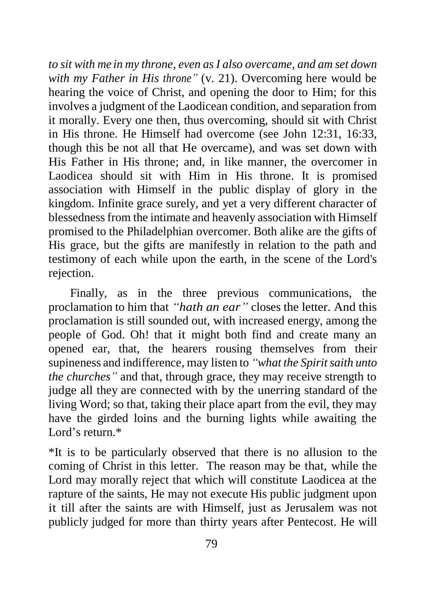*to sit with me in my throne, even as I also overcame, and am set down with my Father in His throne"* (v. 21). Overcoming here would be hearing the voice of Christ, and opening the door to Him; for this involves a judgment of the Laodicean condition, and separation from it morally. Every one then, thus overcoming, should sit with Christ in His throne. He Himself had overcome (see John 12:31, 16:33, though this be not all that He overcame), and was set down with His Father in His throne; and, in like manner, the overcomer in Laodicea should sit with Him in His throne. It is promised association with Himself in the public display of glory in the kingdom. Infinite grace surely, and yet a very different character of blessedness from the intimate and heavenly association with Himself promised to the Philadelphian overcomer. Both alike are the gifts of His grace, but the gifts are manifestly in relation to the path and testimony of each while upon the earth, in the scene of the Lord's rejection.

Finally, as in the three previous communications, the proclamation to him that *"hath an ear"* closes the letter. And this proclamation is still sounded out, with increased energy, among the people of God. Oh! that it might both find and create many an opened ear, that, the hearers rousing themselves from their supineness and indifference, may listen to *"what the Spirit saith unto the churches"* and that, through grace, they may receive strength to judge all they are connected with by the unerring standard of the living Word; so that, taking their place apart from the evil, they may have the girded loins and the burning lights while awaiting the Lord's return.\*

\*It is to be particularly observed that there is no allusion to the coming of Christ in this letter. The reason may be that, while the Lord may morally reject that which will constitute Laodicea at the rapture of the saints, He may not execute His public judgment upon it till after the saints are with Himself, just as Jerusalem was not publicly judged for more than thirty years after Pentecost. He will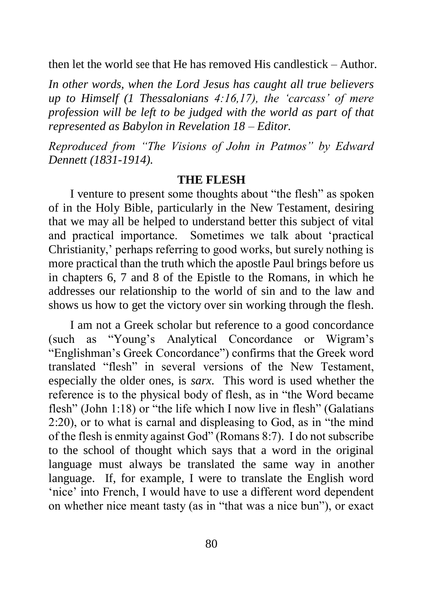then let the world see that He has removed His candlestick – Author.

*In other words, when the Lord Jesus has caught all true believers up to Himself (1 Thessalonians 4:16,17), the 'carcass' of mere profession will be left to be judged with the world as part of that represented as Babylon in Revelation 18 – Editor.*

*Reproduced from "The Visions of John in Patmos" by Edward Dennett (1831-1914).*

#### **THE FLESH**

I venture to present some thoughts about "the flesh" as spoken of in the Holy Bible, particularly in the New Testament, desiring that we may all be helped to understand better this subject of vital and practical importance. Sometimes we talk about 'practical Christianity,' perhaps referring to good works, but surely nothing is more practical than the truth which the apostle Paul brings before us in chapters 6, 7 and 8 of the Epistle to the Romans, in which he addresses our relationship to the world of sin and to the law and shows us how to get the victory over sin working through the flesh.

I am not a Greek scholar but reference to a good concordance (such as "Young's Analytical Concordance or Wigram's "Englishman's Greek Concordance") confirms that the Greek word translated "flesh" in several versions of the New Testament, especially the older ones, is *sarx.* This word is used whether the reference is to the physical body of flesh, as in "the Word became flesh" (John 1:18) or "the life which I now live in flesh" (Galatians 2:20), or to what is carnal and displeasing to God, as in "the mind of the flesh is enmity against God" (Romans 8:7). I do not subscribe to the school of thought which says that a word in the original language must always be translated the same way in another language. If, for example, I were to translate the English word 'nice' into French, I would have to use a different word dependent on whether nice meant tasty (as in "that was a nice bun"), or exact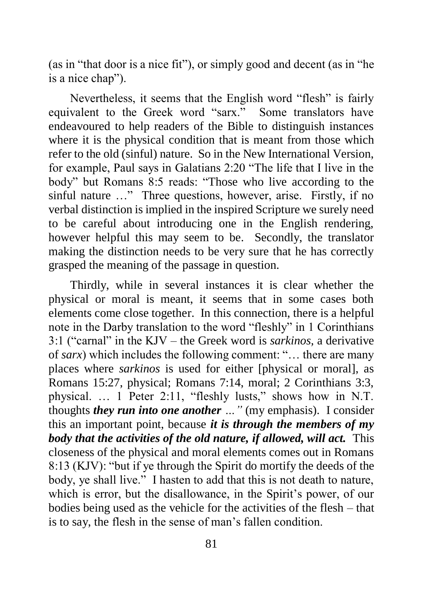(as in "that door is a nice fit"), or simply good and decent (as in "he is a nice chap").

Nevertheless, it seems that the English word "flesh" is fairly equivalent to the Greek word "sarx." Some translators have endeavoured to help readers of the Bible to distinguish instances where it is the physical condition that is meant from those which refer to the old (sinful) nature. So in the New International Version, for example, Paul says in Galatians 2:20 "The life that I live in the body" but Romans 8:5 reads: "Those who live according to the sinful nature …" Three questions, however, arise. Firstly, if no verbal distinction is implied in the inspired Scripture we surely need to be careful about introducing one in the English rendering, however helpful this may seem to be. Secondly, the translator making the distinction needs to be very sure that he has correctly grasped the meaning of the passage in question.

Thirdly, while in several instances it is clear whether the physical or moral is meant, it seems that in some cases both elements come close together. In this connection, there is a helpful note in the Darby translation to the word "fleshly" in 1 Corinthians 3:1 ("carnal" in the KJV – the Greek word is *sarkinos,* a derivative of *sarx*) which includes the following comment: "… there are many places where *sarkinos* is used for either [physical or moral], as Romans 15:27, physical; Romans 7:14, moral; 2 Corinthians 3:3, physical. … 1 Peter 2:11, "fleshly lusts," shows how in N.T. thoughts *they run into one another …"* (my emphasis). I consider this an important point, because *it is through the members of my body that the activities of the old nature, if allowed, will act.* This closeness of the physical and moral elements comes out in Romans 8:13 (KJV): "but if ye through the Spirit do mortify the deeds of the body, ye shall live." I hasten to add that this is not death to nature, which is error, but the disallowance, in the Spirit's power, of our bodies being used as the vehicle for the activities of the flesh – that is to say, the flesh in the sense of man's fallen condition.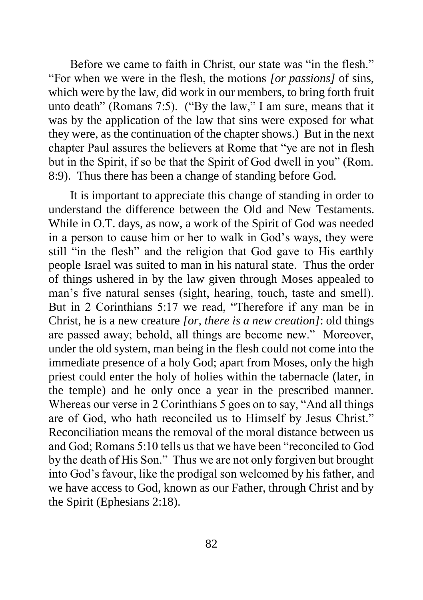Before we came to faith in Christ, our state was "in the flesh." "For when we were in the flesh, the motions *[or passions]* of sins, which were by the law, did work in our members, to bring forth fruit unto death" (Romans 7:5). ("By the law," I am sure, means that it was by the application of the law that sins were exposed for what they were, as the continuation of the chapter shows.) But in the next chapter Paul assures the believers at Rome that "ye are not in flesh but in the Spirit, if so be that the Spirit of God dwell in you" (Rom. 8:9). Thus there has been a change of standing before God.

It is important to appreciate this change of standing in order to understand the difference between the Old and New Testaments. While in O.T. days, as now, a work of the Spirit of God was needed in a person to cause him or her to walk in God's ways, they were still "in the flesh" and the religion that God gave to His earthly people Israel was suited to man in his natural state. Thus the order of things ushered in by the law given through Moses appealed to man's five natural senses (sight, hearing, touch, taste and smell). But in 2 Corinthians 5:17 we read, "Therefore if any man be in Christ, he is a new creature *[or, there is a new creation]*: old things are passed away; behold, all things are become new." Moreover, under the old system, man being in the flesh could not come into the immediate presence of a holy God; apart from Moses, only the high priest could enter the holy of holies within the tabernacle (later, in the temple) and he only once a year in the prescribed manner. Whereas our verse in 2 Corinthians 5 goes on to say, "And all things are of God, who hath reconciled us to Himself by Jesus Christ." Reconciliation means the removal of the moral distance between us and God; Romans 5:10 tells us that we have been "reconciled to God by the death of His Son." Thus we are not only forgiven but brought into God's favour, like the prodigal son welcomed by his father, and we have access to God, known as our Father, through Christ and by the Spirit (Ephesians 2:18).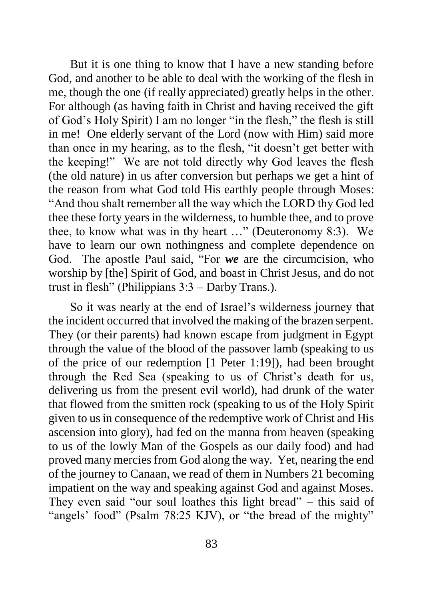But it is one thing to know that I have a new standing before God, and another to be able to deal with the working of the flesh in me, though the one (if really appreciated) greatly helps in the other. For although (as having faith in Christ and having received the gift of God's Holy Spirit) I am no longer "in the flesh," the flesh is still in me! One elderly servant of the Lord (now with Him) said more than once in my hearing, as to the flesh, "it doesn't get better with the keeping!" We are not told directly why God leaves the flesh (the old nature) in us after conversion but perhaps we get a hint of the reason from what God told His earthly people through Moses: "And thou shalt remember all the way which the LORD thy God led thee these forty years in the wilderness, to humble thee, and to prove thee, to know what was in thy heart …" (Deuteronomy 8:3). We have to learn our own nothingness and complete dependence on God. The apostle Paul said, "For *we* are the circumcision, who worship by [the] Spirit of God, and boast in Christ Jesus, and do not trust in flesh" (Philippians 3:3 – Darby Trans.).

So it was nearly at the end of Israel's wilderness journey that the incident occurred that involved the making of the brazen serpent. They (or their parents) had known escape from judgment in Egypt through the value of the blood of the passover lamb (speaking to us of the price of our redemption [1 Peter 1:19]), had been brought through the Red Sea (speaking to us of Christ's death for us, delivering us from the present evil world), had drunk of the water that flowed from the smitten rock (speaking to us of the Holy Spirit given to us in consequence of the redemptive work of Christ and His ascension into glory), had fed on the manna from heaven (speaking to us of the lowly Man of the Gospels as our daily food) and had proved many mercies from God along the way. Yet, nearing the end of the journey to Canaan, we read of them in Numbers 21 becoming impatient on the way and speaking against God and against Moses. They even said "our soul loathes this light bread" – this said of "angels' food" (Psalm 78:25 KJV), or "the bread of the mighty"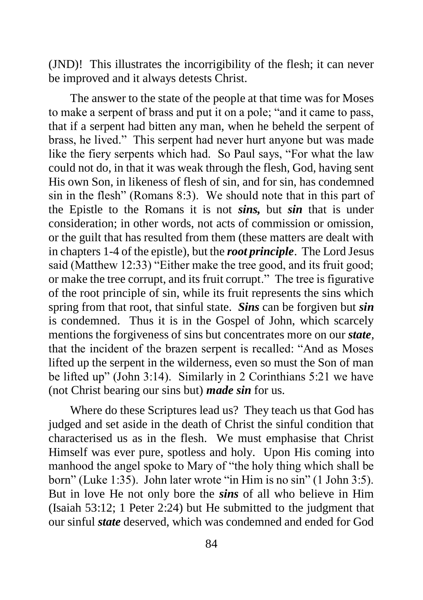(JND)! This illustrates the incorrigibility of the flesh; it can never be improved and it always detests Christ.

The answer to the state of the people at that time was for Moses to make a serpent of brass and put it on a pole; "and it came to pass, that if a serpent had bitten any man, when he beheld the serpent of brass, he lived." This serpent had never hurt anyone but was made like the fiery serpents which had. So Paul says, "For what the law could not do, in that it was weak through the flesh, God, having sent His own Son, in likeness of flesh of sin, and for sin, has condemned sin in the flesh" (Romans 8:3). We should note that in this part of the Epistle to the Romans it is not *sins,* but *sin* that is under consideration; in other words, not acts of commission or omission, or the guilt that has resulted from them (these matters are dealt with in chapters 1-4 of the epistle), but the *root principle*. The Lord Jesus said (Matthew 12:33) "Either make the tree good, and its fruit good; or make the tree corrupt, and its fruit corrupt." The tree is figurative of the root principle of sin, while its fruit represents the sins which spring from that root, that sinful state. *Sins* can be forgiven but *sin* is condemned. Thus it is in the Gospel of John, which scarcely mentions the forgiveness of sins but concentrates more on our *state,*  that the incident of the brazen serpent is recalled: "And as Moses lifted up the serpent in the wilderness, even so must the Son of man be lifted up" (John 3:14). Similarly in 2 Corinthians 5:21 we have (not Christ bearing our sins but) *made sin* for us.

Where do these Scriptures lead us? They teach us that God has judged and set aside in the death of Christ the sinful condition that characterised us as in the flesh. We must emphasise that Christ Himself was ever pure, spotless and holy. Upon His coming into manhood the angel spoke to Mary of "the holy thing which shall be born" (Luke 1:35). John later wrote "in Him is no sin" (1 John 3:5). But in love He not only bore the *sins* of all who believe in Him (Isaiah 53:12; 1 Peter 2:24) but He submitted to the judgment that our sinful *state* deserved, which was condemned and ended for God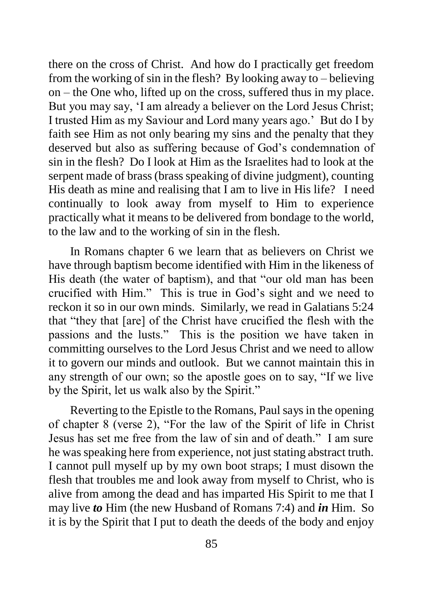there on the cross of Christ. And how do I practically get freedom from the working of sin in the flesh? By looking away to – believing on – the One who, lifted up on the cross, suffered thus in my place. But you may say, 'I am already a believer on the Lord Jesus Christ; I trusted Him as my Saviour and Lord many years ago.' But do I by faith see Him as not only bearing my sins and the penalty that they deserved but also as suffering because of God's condemnation of sin in the flesh? Do I look at Him as the Israelites had to look at the serpent made of brass (brass speaking of divine judgment), counting His death as mine and realising that I am to live in His life? I need continually to look away from myself to Him to experience practically what it means to be delivered from bondage to the world, to the law and to the working of sin in the flesh.

In Romans chapter 6 we learn that as believers on Christ we have through baptism become identified with Him in the likeness of His death (the water of baptism), and that "our old man has been crucified with Him." This is true in God's sight and we need to reckon it so in our own minds. Similarly, we read in Galatians 5:24 that "they that [are] of the Christ have crucified the flesh with the passions and the lusts." This is the position we have taken in committing ourselves to the Lord Jesus Christ and we need to allow it to govern our minds and outlook. But we cannot maintain this in any strength of our own; so the apostle goes on to say, "If we live by the Spirit, let us walk also by the Spirit."

Reverting to the Epistle to the Romans, Paul says in the opening of chapter 8 (verse 2), "For the law of the Spirit of life in Christ Jesus has set me free from the law of sin and of death." I am sure he was speaking here from experience, not just stating abstract truth. I cannot pull myself up by my own boot straps; I must disown the flesh that troubles me and look away from myself to Christ, who is alive from among the dead and has imparted His Spirit to me that I may live *to* Him (the new Husband of Romans 7:4) and *in* Him. So it is by the Spirit that I put to death the deeds of the body and enjoy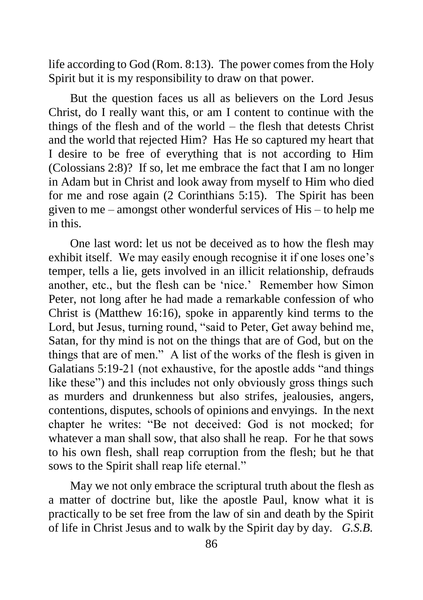life according to God (Rom. 8:13). The power comes from the Holy Spirit but it is my responsibility to draw on that power.

But the question faces us all as believers on the Lord Jesus Christ, do I really want this, or am I content to continue with the things of the flesh and of the world – the flesh that detests Christ and the world that rejected Him? Has He so captured my heart that I desire to be free of everything that is not according to Him (Colossians 2:8)? If so, let me embrace the fact that I am no longer in Adam but in Christ and look away from myself to Him who died for me and rose again (2 Corinthians 5:15). The Spirit has been given to me – amongst other wonderful services of His – to help me in this.

One last word: let us not be deceived as to how the flesh may exhibit itself. We may easily enough recognise it if one loses one's temper, tells a lie, gets involved in an illicit relationship, defrauds another, etc., but the flesh can be 'nice.' Remember how Simon Peter, not long after he had made a remarkable confession of who Christ is (Matthew 16:16), spoke in apparently kind terms to the Lord, but Jesus, turning round, "said to Peter, Get away behind me, Satan, for thy mind is not on the things that are of God, but on the things that are of men." A list of the works of the flesh is given in Galatians 5:19-21 (not exhaustive, for the apostle adds "and things like these") and this includes not only obviously gross things such as murders and drunkenness but also strifes, jealousies, angers, contentions, disputes, schools of opinions and envyings. In the next chapter he writes: "Be not deceived: God is not mocked; for whatever a man shall sow, that also shall he reap. For he that sows to his own flesh, shall reap corruption from the flesh; but he that sows to the Spirit shall reap life eternal."

May we not only embrace the scriptural truth about the flesh as a matter of doctrine but, like the apostle Paul, know what it is practically to be set free from the law of sin and death by the Spirit of life in Christ Jesus and to walk by the Spirit day by day. *G.S.B.*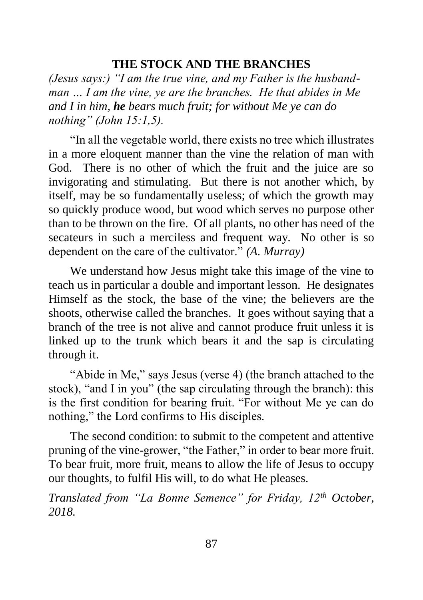## **THE STOCK AND THE BRANCHES**

*(Jesus says:) "I am the true vine, and my Father is the husbandman … I am the vine, ye are the branches. He that abides in Me and I in him, he bears much fruit; for without Me ye can do nothing" (John 15:1,5).*

"In all the vegetable world, there exists no tree which illustrates in a more eloquent manner than the vine the relation of man with God. There is no other of which the fruit and the juice are so invigorating and stimulating. But there is not another which, by itself, may be so fundamentally useless; of which the growth may so quickly produce wood, but wood which serves no purpose other than to be thrown on the fire. Of all plants, no other has need of the secateurs in such a merciless and frequent way. No other is so dependent on the care of the cultivator." *(A. Murray)*

We understand how Jesus might take this image of the vine to teach us in particular a double and important lesson. He designates Himself as the stock, the base of the vine; the believers are the shoots, otherwise called the branches. It goes without saying that a branch of the tree is not alive and cannot produce fruit unless it is linked up to the trunk which bears it and the sap is circulating through it.

"Abide in Me," says Jesus (verse 4) (the branch attached to the stock), "and I in you" (the sap circulating through the branch): this is the first condition for bearing fruit. "For without Me ye can do nothing," the Lord confirms to His disciples.

The second condition: to submit to the competent and attentive pruning of the vine-grower, "the Father," in order to bear more fruit. To bear fruit, more fruit, means to allow the life of Jesus to occupy our thoughts, to fulfil His will, to do what He pleases.

*Translated from "La Bonne Semence" for Friday, 12th October, 2018.*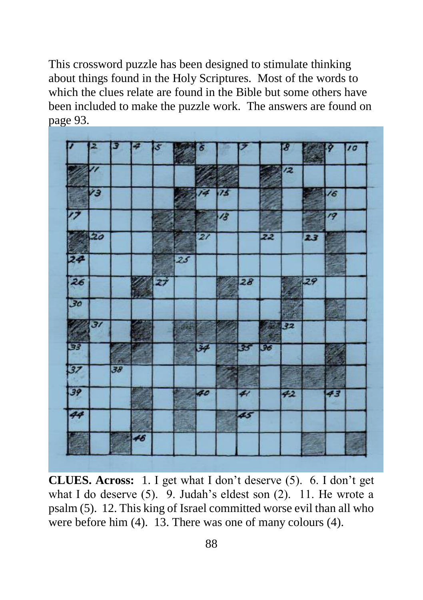This crossword puzzle has been designed to stimulate thinking about things found in the Holy Scriptures. Most of the words to which the clues relate are found in the Bible but some others have been included to make the puzzle work. The answers are found on page 93.



**CLUES. Across:** 1. I get what I don't deserve (5). 6. I don't get what I do deserve (5). 9. Judah's eldest son (2). 11. He wrote a psalm (5). 12. This king of Israel committed worse evil than all who were before him (4). 13. There was one of many colours (4).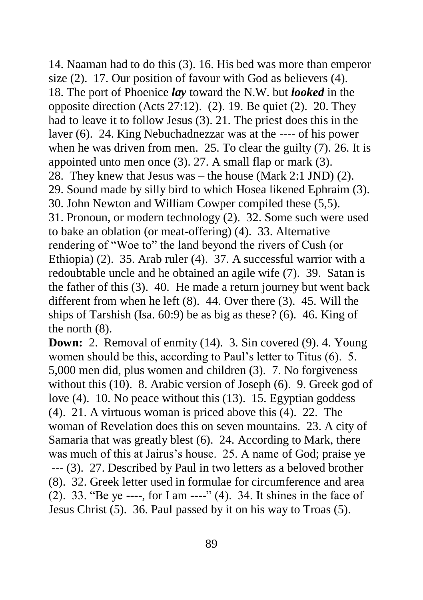14. Naaman had to do this (3). 16. His bed was more than emperor size (2). 17. Our position of favour with God as believers (4). 18. The port of Phoenice *lay* toward the N.W. but *looked* in the opposite direction (Acts 27:12). (2). 19. Be quiet (2). 20. They had to leave it to follow Jesus (3). 21. The priest does this in the laver (6). 24. King Nebuchadnezzar was at the ---- of his power when he was driven from men. 25. To clear the guilty (7). 26. It is appointed unto men once (3). 27. A small flap or mark (3). 28. They knew that Jesus was – the house (Mark 2:1 JND) (2). 29. Sound made by silly bird to which Hosea likened Ephraim (3). 30. John Newton and William Cowper compiled these (5,5). 31. Pronoun, or modern technology (2). 32. Some such were used to bake an oblation (or meat-offering) (4). 33. Alternative rendering of "Woe to" the land beyond the rivers of Cush (or Ethiopia) (2). 35. Arab ruler (4). 37. A successful warrior with a redoubtable uncle and he obtained an agile wife (7). 39. Satan is the father of this (3). 40. He made a return journey but went back different from when he left (8). 44. Over there (3). 45. Will the ships of Tarshish (Isa. 60:9) be as big as these? (6). 46. King of the north (8).

**Down:** 2. Removal of enmity (14). 3. Sin covered (9). 4. Young women should be this, according to Paul's letter to Titus (6). 5. 5,000 men did, plus women and children (3). 7. No forgiveness without this (10). 8. Arabic version of Joseph (6). 9. Greek god of love (4). 10. No peace without this (13). 15. Egyptian goddess (4). 21. A virtuous woman is priced above this (4). 22. The woman of Revelation does this on seven mountains. 23. A city of Samaria that was greatly blest (6). 24. According to Mark, there was much of this at Jairus's house. 25. A name of God; praise ye --- (3). 27. Described by Paul in two letters as a beloved brother (8). 32. Greek letter used in formulae for circumference and area (2). 33. "Be ye ----, for I am ----" (4). 34. It shines in the face of Jesus Christ (5). 36. Paul passed by it on his way to Troas (5).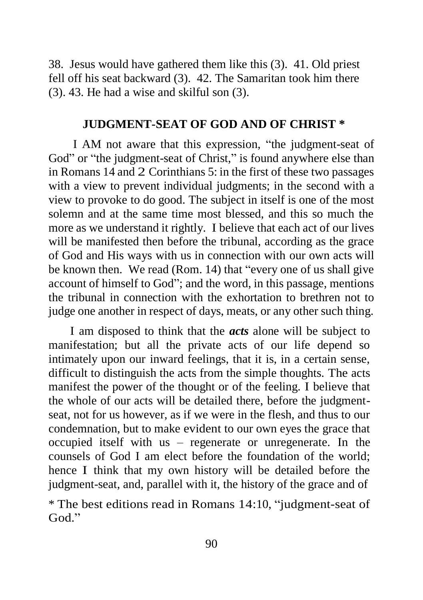38. Jesus would have gathered them like this (3). 41. Old priest fell off his seat backward (3). 42. The Samaritan took him there (3). 43. He had a wise and skilful son (3).

#### **JUDGMENT-SEAT OF GOD AND OF CHRIST \***

I AM not aware that this expression, "the judgment-seat of God" or "the judgment-seat of Christ," is found anywhere else than in Romans 14 and 2 Corinthians 5: in the first of these two passages with a view to prevent individual judgments; in the second with a view to provoke to do good. The subject in itself is one of the most solemn and at the same time most blessed, and this so much the more as we understand it rightly. I believe that each act of our lives will be manifested then before the tribunal, according as the grace of God and His ways with us in connection with our own acts will be known then. We read (Rom. 14) that "every one of us shall give account of himself to God"; and the word, in this passage, mentions the tribunal in connection with the exhortation to brethren not to judge one another in respect of days, meats, or any other such thing.

I am disposed to think that the *acts* alone will be subject to manifestation; but all the private acts of our life depend so intimately upon our inward feelings, that it is, in a certain sense, difficult to distinguish the acts from the simple thoughts. The acts manifest the power of the thought or of the feeling. I believe that the whole of our acts will be detailed there, before the judgmentseat, not for us however, as if we were in the flesh, and thus to our condemnation, but to make evident to our own eyes the grace that occupied itself with us – regenerate or unregenerate. In the counsels of God I am elect before the foundation of the world; hence I think that my own history will be detailed before the judgment-seat, and, parallel with it, the history of the grace and of

\* The best editions read in Romans 14:10, "judgment-seat of God."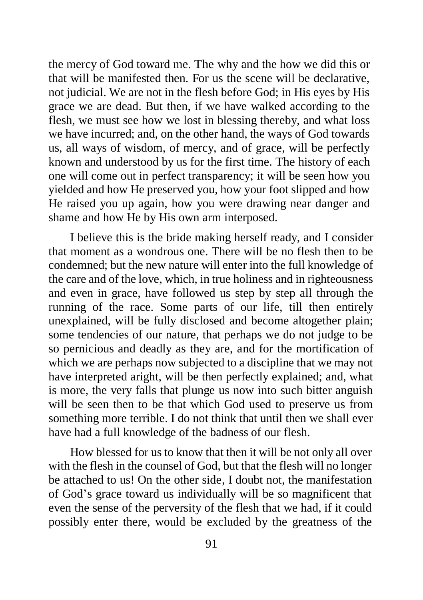the mercy of God toward me. The why and the how we did this or that will be manifested then. For us the scene will be declarative, not judicial. We are not in the flesh before God; in His eyes by His grace we are dead. But then, if we have walked according to the flesh, we must see how we lost in blessing thereby, and what loss we have incurred; and, on the other hand, the ways of God towards us, all ways of wisdom, of mercy, and of grace, will be perfectly known and understood by us for the first time. The history of each one will come out in perfect transparency; it will be seen how you yielded and how He preserved you, how your foot slipped and how He raised you up again, how you were drawing near danger and shame and how He by His own arm interposed.

I believe this is the bride making herself ready, and I consider that moment as a wondrous one. There will be no flesh then to be condemned; but the new nature will enter into the full knowledge of the care and of the love, which, in true holiness and in righteousness and even in grace, have followed us step by step all through the running of the race. Some parts of our life, till then entirely unexplained, will be fully disclosed and become altogether plain; some tendencies of our nature, that perhaps we do not judge to be so pernicious and deadly as they are, and for the mortification of which we are perhaps now subjected to a discipline that we may not have interpreted aright, will be then perfectly explained; and, what is more, the very falls that plunge us now into such bitter anguish will be seen then to be that which God used to preserve us from something more terrible. I do not think that until then we shall ever have had a full knowledge of the badness of our flesh.

How blessed for us to know that then it will be not only all over with the flesh in the counsel of God, but that the flesh will no longer be attached to us! On the other side, I doubt not, the manifestation of God's grace toward us individually will be so magnificent that even the sense of the perversity of the flesh that we had, if it could possibly enter there, would be excluded by the greatness of the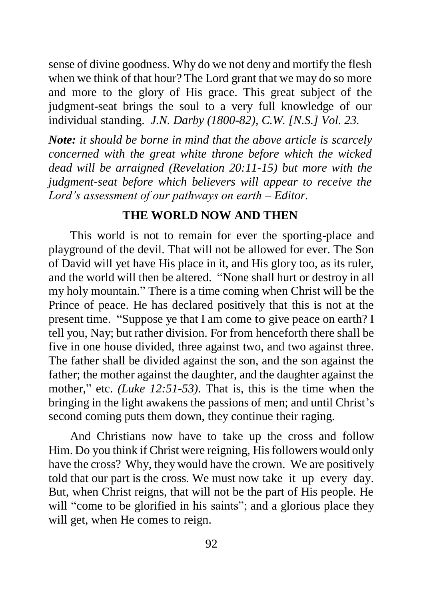sense of divine goodness. Why do we not deny and mortify the flesh when we think of that hour? The Lord grant that we may do so more and more to the glory of His grace. This great subject of the judgment-seat brings the soul to a very full knowledge of our individual standing. *J.N. Darby (1800-82), C.W. [N.S.] Vol. 23.*

*Note: it should be borne in mind that the above article is scarcely concerned with the great white throne before which the wicked dead will be arraigned (Revelation 20:11-15) but more with the judgment-seat before which believers will appear to receive the Lord's assessment of our pathways on earth – Editor.*

#### **THE WORLD NOW AND THEN**

This world is not to remain for ever the sporting-place and playground of the devil. That will not be allowed for ever. The Son of David will yet have His place in it, and His glory too, as its ruler, and the world will then be altered. "None shall hurt or destroy in all my holy mountain." There is a time coming when Christ will be the Prince of peace. He has declared positively that this is not at the present time. "Suppose ye that I am come to give peace on earth? I tell you, Nay; but rather division. For from henceforth there shall be five in one house divided, three against two, and two against three. The father shall be divided against the son, and the son against the father; the mother against the daughter, and the daughter against the mother," etc. *(Luke 12:51-53)*. That is, this is the time when the bringing in the light awakens the passions of men; and until Christ's second coming puts them down, they continue their raging.

And Christians now have to take up the cross and follow Him. Do you think if Christ were reigning, His followers would only have the cross? Why, they would have the crown. We are positively told that our part is the cross. We must now take it up every day. But, when Christ reigns, that will not be the part of His people. He will "come to be glorified in his saints"; and a glorious place they will get, when He comes to reign.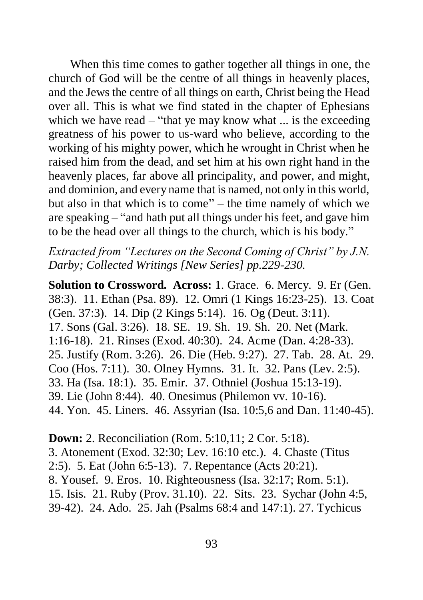When this time comes to gather together all things in one, the church of God will be the centre of all things in heavenly places, and the Jews the centre of all things on earth, Christ being the Head over all. This is what we find stated in the chapter of Ephesians which we have read  $-$  "that ye may know what  $\ldots$  is the exceeding greatness of his power to us-ward who believe, according to the working of his mighty power, which he wrought in Christ when he raised him from the dead, and set him at his own right hand in the heavenly places, far above all principality, and power, and might, and dominion, and every name that is named, not only in this world, but also in that which is to come" – the time namely of which we are speaking – "and hath put all things under his feet, and gave him to be the head over all things to the church, which is his body."

*Extracted from "Lectures on the Second Coming of Christ" by J.N. Darby; Collected Writings [New Series] pp.229-230.*

**Solution to Crossword. Across:** 1. Grace. 6. Mercy. 9. Er (Gen. 38:3). 11. Ethan (Psa. 89). 12. Omri (1 Kings 16:23-25). 13. Coat (Gen. 37:3). 14. Dip (2 Kings 5:14). 16. Og (Deut. 3:11). 17. Sons (Gal. 3:26). 18. SE. 19. Sh. 19. Sh. 20. Net (Mark. 1:16-18). 21. Rinses (Exod. 40:30). 24. Acme (Dan. 4:28-33). 25. Justify (Rom. 3:26). 26. Die (Heb. 9:27). 27. Tab. 28. At. 29. Coo (Hos. 7:11). 30. Olney Hymns. 31. It. 32. Pans (Lev. 2:5). 33. Ha (Isa. 18:1). 35. Emir. 37. Othniel (Joshua 15:13-19). 39. Lie (John 8:44). 40. Onesimus (Philemon vv. 10-16). 44. Yon. 45. Liners. 46. Assyrian (Isa. 10:5,6 and Dan. 11:40-45).

**Down:** 2. Reconciliation (Rom. 5:10,11; 2 Cor. 5:18). 3. Atonement (Exod. 32:30; Lev. 16:10 etc.). 4. Chaste (Titus 2:5). 5. Eat (John 6:5-13). 7. Repentance (Acts 20:21). 8. Yousef. 9. Eros. 10. Righteousness (Isa. 32:17; Rom. 5:1). 15. Isis. 21. Ruby (Prov. 31.10). 22. Sits. 23. Sychar (John 4:5, 39-42). 24. Ado. 25. Jah (Psalms 68:4 and 147:1). 27. Tychicus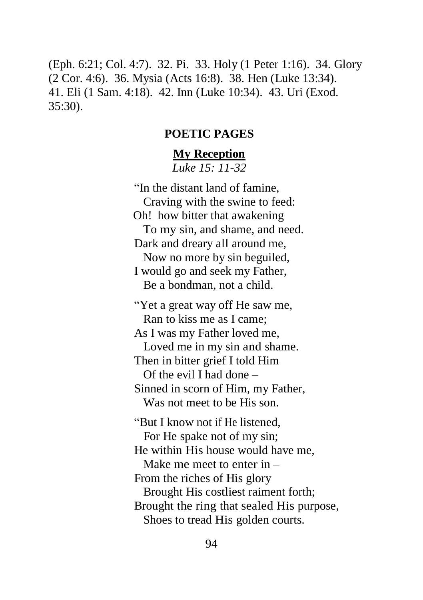(Eph. 6:21; Col. 4:7). 32. Pi. 33. Holy (1 Peter 1:16). 34. Glory (2 Cor. 4:6). 36. Mysia (Acts 16:8). 38. Hen (Luke 13:34). 41. Eli (1 Sam. 4:18). 42. Inn (Luke 10:34). 43. Uri (Exod. 35:30).

#### **POETIC PAGES**

# **My Reception**

*Luke 15: 11-32*

"In the distant land of famine, Craving with the swine to feed: Oh! how bitter that awakening To my sin, and shame, and need. Dark and dreary all around me, Now no more by sin beguiled, I would go and seek my Father, Be a bondman, not a child. "Yet a great way off He saw me, Ran to kiss me as I came; As I was my Father loved me, Loved me in my sin and shame. Then in bitter grief I told Him Of the evil I had done – Sinned in scorn of Him, my Father, Was not meet to be His son. "But I know not if He listened, For He spake not of my sin; He within His house would have me, Make me meet to enter in – From the riches of His glory Brought His costliest raiment forth;

Brought the ring that sealed His purpose,

Shoes to tread His golden courts.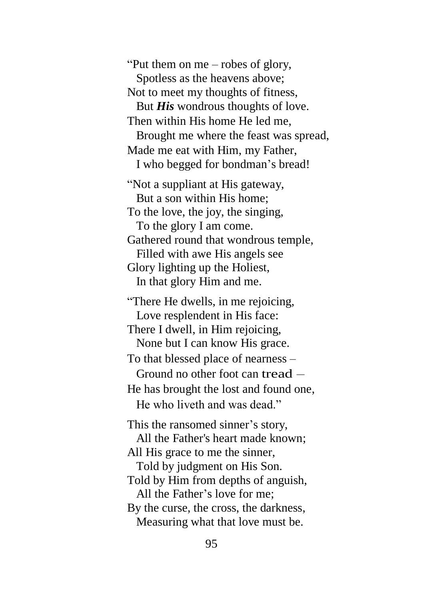"Put them on me – robes of glory, Spotless as the heavens above; Not to meet my thoughts of fitness, But *His* wondrous thoughts of love. Then within His home He led me, Brought me where the feast was spread, Made me eat with Him, my Father, I who begged for bondman's bread! "Not a suppliant at His gateway, But a son within His home; To the love, the joy, the singing, To the glory I am come. Gathered round that wondrous temple, Filled with awe His angels see Glory lighting up the Holiest, In that glory Him and me. "There He dwells, in me rejoicing, Love resplendent in His face: There I dwell, in Him rejoicing, None but I can know His grace. To that blessed place of nearness – Ground no other foot can tread – He has brought the lost and found one, He who liveth and was dead." This the ransomed sinner's story, All the Father's heart made known; All His grace to me the sinner, Told by judgment on His Son. Told by Him from depths of anguish, All the Father's love for me; By the curse, the cross, the darkness, Measuring what that love must be.